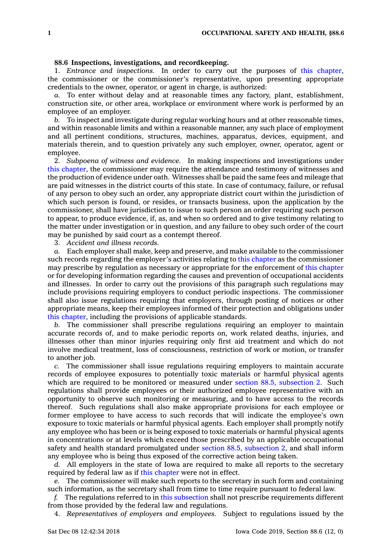## **88.6 Inspections, investigations, and recordkeeping.**

1. *Entrance and inspections.* In order to carry out the purposes of this [chapter](https://www.legis.iowa.gov/docs/code//88.pdf), the commissioner or the commissioner's representative, upon presenting appropriate credentials to the owner, operator, or agent in charge, is authorized:

*a.* To enter without delay and at reasonable times any factory, plant, establishment, construction site, or other area, workplace or environment where work is performed by an employee of an employer.

*b.* To inspect and investigate during regular working hours and at other reasonable times, and within reasonable limits and within <sup>a</sup> reasonable manner, any such place of employment and all pertinent conditions, structures, machines, apparatus, devices, equipment, and materials therein, and to question privately any such employer, owner, operator, agent or employee.

2. *Subpoena of witness and evidence.* In making inspections and investigations under this [chapter](https://www.legis.iowa.gov/docs/code//88.pdf), the commissioner may require the attendance and testimony of witnesses and the production of evidence under oath. Witnesses shall be paid the same fees and mileage that are paid witnesses in the district courts of this state. In case of contumacy, failure, or refusal of any person to obey such an order, any appropriate district court within the jurisdiction of which such person is found, or resides, or transacts business, upon the application by the commissioner, shall have jurisdiction to issue to such person an order requiring such person to appear, to produce evidence, if, as, and when so ordered and to give testimony relating to the matter under investigation or in question, and any failure to obey such order of the court may be punished by said court as <sup>a</sup> contempt thereof.

3. *Accident and illness records.*

*a.* Each employer shall make, keep and preserve, and make available to the commissioner such records regarding the employer's activities relating to this [chapter](https://www.legis.iowa.gov/docs/code//88.pdf) as the commissioner may prescribe by regulation as necessary or appropriate for the enforcement of this [chapter](https://www.legis.iowa.gov/docs/code//88.pdf) or for developing information regarding the causes and prevention of occupational accidents and illnesses. In order to carry out the provisions of this paragraph such regulations may include provisions requiring employers to conduct periodic inspections. The commissioner shall also issue regulations requiring that employers, through posting of notices or other appropriate means, keep their employees informed of their protection and obligations under this [chapter](https://www.legis.iowa.gov/docs/code//88.pdf), including the provisions of applicable standards.

*b.* The commissioner shall prescribe regulations requiring an employer to maintain accurate records of, and to make periodic reports on, work related deaths, injuries, and illnesses other than minor injuries requiring only first aid treatment and which do not involve medical treatment, loss of consciousness, restriction of work or motion, or transfer to another job.

*c.* The commissioner shall issue regulations requiring employers to maintain accurate records of employee exposures to potentially toxic materials or harmful physical agents which are required to be monitored or measured under section 88.5, [subsection](https://www.legis.iowa.gov/docs/code/88.5.pdf) 2. Such regulations shall provide employees or their authorized employee representative with an opportunity to observe such monitoring or measuring, and to have access to the records thereof. Such regulations shall also make appropriate provisions for each employee or former employee to have access to such records that will indicate the employee's own exposure to toxic materials or harmful physical agents. Each employer shall promptly notify any employee who has been or is being exposed to toxic materials or harmful physical agents in concentrations or at levels which exceed those prescribed by an applicable occupational safety and health standard promulgated under section 88.5, [subsection](https://www.legis.iowa.gov/docs/code/88.5.pdf) 2, and shall inform any employee who is being thus exposed of the corrective action being taken.

*d.* All employers in the state of Iowa are required to make all reports to the secretary required by federal law as if this [chapter](https://www.legis.iowa.gov/docs/code//88.pdf) were not in effect.

*e.* The commissioner will make such reports to the secretary in such form and containing such information, as the secretary shall from time to time require pursuant to federal law.

*f.* The regulations referred to in this [subsection](https://www.legis.iowa.gov/docs/code/88.6.pdf) shall not prescribe requirements different from those provided by the federal law and regulations.

4. *Representatives of employers and employees.* Subject to regulations issued by the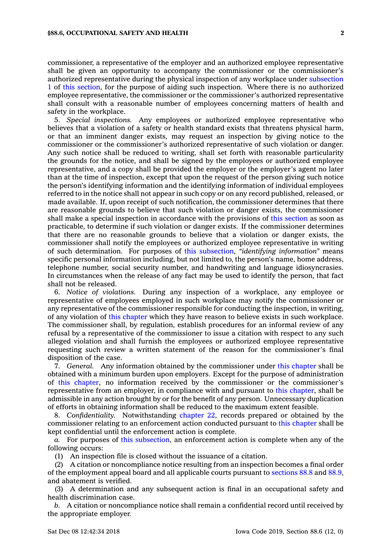commissioner, <sup>a</sup> representative of the employer and an authorized employee representative shall be given an opportunity to accompany the commissioner or the commissioner's

authorized representative during the physical inspection of any workplace under [subsection](https://www.legis.iowa.gov/docs/code/88.6.pdf) [1](https://www.legis.iowa.gov/docs/code/88.6.pdf) of this [section](https://www.legis.iowa.gov/docs/code/88.6.pdf), for the purpose of aiding such inspection. Where there is no authorized employee representative, the commissioner or the commissioner's authorized representative shall consult with <sup>a</sup> reasonable number of employees concerning matters of health and safety in the workplace.

5. *Special inspections.* Any employees or authorized employee representative who believes that <sup>a</sup> violation of <sup>a</sup> safety or health standard exists that threatens physical harm, or that an imminent danger exists, may request an inspection by giving notice to the commissioner or the commissioner's authorized representative of such violation or danger. Any such notice shall be reduced to writing, shall set forth with reasonable particularity the grounds for the notice, and shall be signed by the employees or authorized employee representative, and <sup>a</sup> copy shall be provided the employer or the employer's agent no later than at the time of inspection, except that upon the request of the person giving such notice the person's identifying information and the identifying information of individual employees referred to in the notice shall not appear in such copy or on any record published, released, or made available. If, upon receipt of such notification, the commissioner determines that there are reasonable grounds to believe that such violation or danger exists, the commissioner shall make <sup>a</sup> special inspection in accordance with the provisions of this [section](https://www.legis.iowa.gov/docs/code/88.6.pdf) as soon as practicable, to determine if such violation or danger exists. If the commissioner determines that there are no reasonable grounds to believe that <sup>a</sup> violation or danger exists, the commissioner shall notify the employees or authorized employee representative in writing of such determination. For purposes of this [subsection](https://www.legis.iowa.gov/docs/code/88.6.pdf), *"identifying information"* means specific personal information including, but not limited to, the person's name, home address, telephone number, social security number, and handwriting and language idiosyncrasies. In circumstances when the release of any fact may be used to identify the person, that fact shall not be released.

6. *Notice of violations.* During any inspection of <sup>a</sup> workplace, any employee or representative of employees employed in such workplace may notify the commissioner or any representative of the commissioner responsible for conducting the inspection, in writing, of any violation of this [chapter](https://www.legis.iowa.gov/docs/code//88.pdf) which they have reason to believe exists in such workplace. The commissioner shall, by regulation, establish procedures for an informal review of any refusal by <sup>a</sup> representative of the commissioner to issue <sup>a</sup> citation with respect to any such alleged violation and shall furnish the employees or authorized employee representative requesting such review <sup>a</sup> written statement of the reason for the commissioner's final disposition of the case.

7. *General.* Any information obtained by the commissioner under this [chapter](https://www.legis.iowa.gov/docs/code//88.pdf) shall be obtained with <sup>a</sup> minimum burden upon employers. Except for the purpose of administration of this [chapter](https://www.legis.iowa.gov/docs/code//88.pdf), no information received by the commissioner or the commissioner's representative from an employer, in compliance with and pursuant to this [chapter](https://www.legis.iowa.gov/docs/code//88.pdf), shall be admissible in any action brought by or for the benefit of any person. Unnecessary duplication of efforts in obtaining information shall be reduced to the maximum extent feasible.

8. *Confidentiality.* Notwithstanding [chapter](https://www.legis.iowa.gov/docs/code//22.pdf) 22, records prepared or obtained by the commissioner relating to an enforcement action conducted pursuant to this [chapter](https://www.legis.iowa.gov/docs/code//88.pdf) shall be kept confidential until the enforcement action is complete.

*a.* For purposes of this [subsection](https://www.legis.iowa.gov/docs/code/88.6.pdf), an enforcement action is complete when any of the following occurs:

(1) An inspection file is closed without the issuance of <sup>a</sup> citation.

(2) A citation or noncompliance notice resulting from an inspection becomes <sup>a</sup> final order of the employment appeal board and all applicable courts pursuant to [sections](https://www.legis.iowa.gov/docs/code/88.8.pdf) 88.8 and [88.9](https://www.legis.iowa.gov/docs/code/88.9.pdf), and abatement is verified.

(3) A determination and any subsequent action is final in an occupational safety and health discrimination case.

*b.* A citation or noncompliance notice shall remain <sup>a</sup> confidential record until received by the appropriate employer.